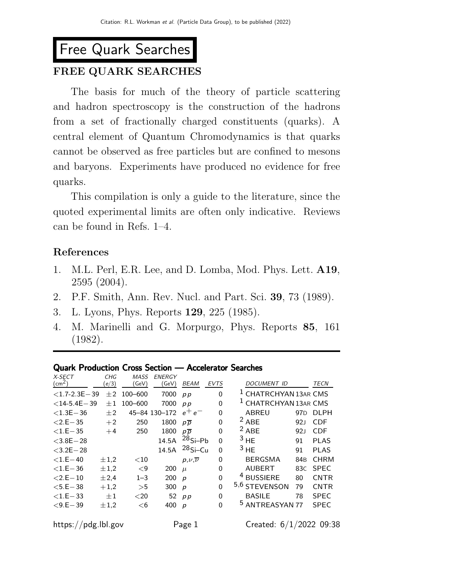# Free Quark Searches

# FREE QUARK SEARCHES

The basis for much of the theory of particle scattering and hadron spectroscopy is the construction of the hadrons from a set of fractionally charged constituents (quarks). A central element of Quantum Chromodynamics is that quarks cannot be observed as free particles but are confined to mesons and baryons. Experiments have produced no evidence for free quarks.

This compilation is only a guide to the literature, since the quoted experimental limits are often only indicative. Reviews can be found in Refs. 1–4.

## References

- 1. M.L. Perl, E.R. Lee, and D. Lomba, Mod. Phys. Lett. A19, 2595 (2004).
- 2. P.F. Smith, Ann. Rev. Nucl. and Part. Sci. 39, 73 (1989).
- 3. L. Lyons, Phys. Reports 129, 225 (1985).
- 4. M. Marinelli and G. Morpurgo, Phys. Reports 85, 161 (1982).

#### Quark Production Cross Section — Accelerator Searches

| X-SECT              | CHG       | MASS     | ENERGY        |                          |             |   |                                  |                 |             |
|---------------------|-----------|----------|---------------|--------------------------|-------------|---|----------------------------------|-----------------|-------------|
| $\text{cm}^2$ )     | (e/3)     | GeV)     | GeV)          | <b>BEAM</b>              | <b>EVTS</b> |   | <b>DOCUMENT ID</b>               |                 | <b>TECN</b> |
| $<$ 1.7-2.3E $-$ 39 | $\pm 2$   | 100-600  | 7000          | p p                      | 0           |   | <sup>1</sup> CHATRCHYAN 13AR CMS |                 |             |
| $<$ 14-5.4E $-$ 39  | $\pm 1$   | 100-600  | 7000          | pp                       | 0           |   | <sup>1</sup> CHATRCHYAN 13AR CMS |                 |             |
| $< 1.3E - 36$       | $+2$      |          | 45-84 130-172 | $e^+e^-$                 | 0           |   | ABREU                            | 97 <sub>D</sub> | <b>DLPH</b> |
| $< 2.E - 35$        | $+2$      | 250      | 1800          | $p\overline{p}$          | 0           | 2 | <b>ABE</b>                       | 92 <sub>J</sub> | <b>CDF</b>  |
| $<$ 1.E $-35$       | $+4$      | 250      | 1800          | $p\overline{p}$          | 0           |   | $2$ ABE                          | 92 <sub>J</sub> | <b>CDF</b>  |
| $<$ 3.8E $-$ 28     |           |          | 14.5A         | $28Si-Pb$                | 0           |   | 3 H <sub>E</sub>                 | 91              | <b>PLAS</b> |
| $<$ 3.2E $-$ 28     |           |          | 14.5A         | $28$ Si-Cu               | 0           |   | 3 H <sub>E</sub>                 | 91              | PLAS        |
| $< 1.E - 40$        | $\pm 1.2$ | ${<}10$  |               | $p, \nu, \overline{\nu}$ | 0           |   | <b>BERGSMA</b>                   | 84 <sub>B</sub> | <b>CHRM</b> |
| $< 1.E - 36$        | $\pm 1.2$ | $\leq$ 9 | 200           | $\mu$                    | 0           |   | AUBERT                           | 83C             | <b>SPEC</b> |
| $< 2.E - 10$        | ±2.4      | $1 - 3$  | 200           | $\boldsymbol{p}$         | 0           |   | <b>BUSSIERE</b>                  | 80              | <b>CNTR</b> |
| $<$ 5.E $-$ 38      | $+1,2$    | >5       | 300           | $\boldsymbol{p}$         | 0           |   | 5,6 STEVENSON                    | 79              | <b>CNTR</b> |
| $< 1.E - 33$        | $\pm 1$   | $<$ 20   | 52            | p p                      | 0           |   | <b>BASILE</b>                    | 78              | <b>SPEC</b> |
| $< 9.E - 39$        | ±1.2      | $<$ 6    | 400           | $\boldsymbol{p}$         | 0           |   | <sup>5</sup> ANTREASYAN 77       |                 | <b>SPEC</b> |
| https://pdg.lbl.gov |           |          |               | Page 1                   |             |   | Created: 6/1/2022 09:38          |                 |             |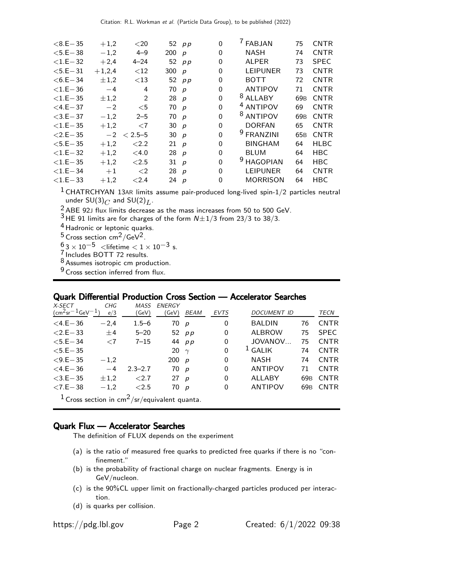| $< 8.E - 35$   | $+1,2$    | $<$ 20      |        | 52 $pp$          | 0 | <b>FABJAN</b>        | 75              | <b>CNTR</b> |
|----------------|-----------|-------------|--------|------------------|---|----------------------|-----------------|-------------|
| $<$ 5.E $-$ 38 | $-1,2$    | $4 - 9$     | 200    | $\boldsymbol{p}$ | 0 | NASH                 | 74              | <b>CNTR</b> |
| $< 1.E - 32$   | $+2,4$    | $4 - 24$    | 52     | p p              | 0 | <b>ALPER</b>         | 73              | <b>SPEC</b> |
| $<$ 5.E $-$ 31 | $+1,2,4$  | $<$ 12      | 300    | $\boldsymbol{p}$ | 0 | <b>LEIPUNER</b>      | 73              | <b>CNTR</b> |
| $< 6.E - 34$   | $\pm 1.2$ | $<$ 13      |        | 52 $pp$          | 0 | <b>BOTT</b>          | 72              | <b>CNTR</b> |
| $< 1.E - 36$   | $-4$      | 4           | 70     | $\boldsymbol{p}$ | 0 | <b>ANTIPOV</b>       | 71              | <b>CNTR</b> |
| $< 1.E - 35$   | $\pm 1,2$ | 2           | 28 $p$ |                  | 0 | <sup>8</sup> ALLABY  | 69 <sub>B</sub> | <b>CNTR</b> |
| $<$ 4.E $-$ 37 | $-2$      | $<$ 5       | 70     | $\boldsymbol{p}$ | 0 | <sup>4</sup> ANTIPOV | 69              | <b>CNTR</b> |
| $<$ 3.E $-$ 37 | $-1,2$    | $2 - 5$     | 70     | p                | 0 | 8<br><b>ANTIPOV</b>  | 69 <sub>B</sub> | <b>CNTR</b> |
| $< 1.E - 35$   | $+1,2$    | ${<}7$      | 30 p   |                  | 0 | <b>DORFAN</b>        | 65              | <b>CNTR</b> |
| $< 2.E - 35$   | $-2$      | $< 2.5 - 5$ | 30     | $\boldsymbol{p}$ | 0 | <b>FRANZINI</b>      | 65 <sub>B</sub> | <b>CNTR</b> |
| $< 5.E - 35$   | $+1,2$    | ${<}2.2$    | 21     | $\boldsymbol{p}$ | 0 | <b>BINGHAM</b>       | 64              | <b>HLBC</b> |
| $<$ 1.E $-32$  | $+1,2$    | $<$ 4.0     | 28     | $\boldsymbol{p}$ | 0 | <b>BLUM</b>          | 64              | <b>HBC</b>  |
| $< 1.E - 35$   | $+1,2$    | < 2.5       | 31     | $\boldsymbol{p}$ | 0 | <b>HAGOPIAN</b>      | 64              | <b>HBC</b>  |
| $<$ 1.E $-$ 34 | $+1$      | $\langle 2$ | 28     | $\boldsymbol{p}$ | 0 | <b>LEIPUNER</b>      | 64              | <b>CNTR</b> |
| $<$ 1.E $-$ 33 | $+1,2$    | ${<}2.4$    | 24     | $\boldsymbol{p}$ | 0 | <b>MORRISON</b>      | 64              | <b>HBC</b>  |
|                |           |             |        |                  |   |                      |                 |             |

 $1$  CHATRCHYAN 13AR limits assume pair-produced long-lived spin-1/2 particles neutral under  $SU(3)_C$  and  $SU(2)_L$ .

 $^{2}_{2}$  ABE 92J flux limits decrease as the mass increases from 50 to 500 GeV.

 $3$  HE 91 limits are for charges of the form  $N \pm 1/3$  from 23/3 to 38/3.

4 Hadronic or leptonic quarks.

 $^5$  Cross section cm $^2$ /GeV $^2$ .

 $\frac{6}{5}$ 3 × 10 $^{-5}$  <lifetime < 1 × 10 $^{-3}$  s.

7 Includes BOTT 72 results.

8 Assumes isotropic cm production.

<sup>9</sup> Cross section inferred from flux.

### Quark Differential Production Cross Section — Accelerator Searches

| X-SECT                                                               | CHG         | MASS        | ENERGY      |             |             |                    |                 |             |
|----------------------------------------------------------------------|-------------|-------------|-------------|-------------|-------------|--------------------|-----------------|-------------|
| $\rm (cm^2 sr^{-1}GeV^{-1}$                                          | e/3         | (GeV)       | 'GeV)       | <i>BEAM</i> | <b>EVTS</b> | <b>DOCUMENT ID</b> |                 | TECN        |
| $<$ 4.E $-$ 36                                                       | $-2.4$      | $1.5 - 6$   | 70 p        |             | $\Omega$    | <b>BALDIN</b>      | 76              | <b>CNTR</b> |
| $< 2.E - 33$                                                         | ±4          | $5 - 20$    |             | 52 $pp$     | 0           | <b>ALBROW</b>      | 75              | <b>SPEC</b> |
| $<$ 5.E $-$ 34                                                       | $\langle 7$ | $7 - 15$    |             | 44 pp       | 0           | JOVANOV            | 75              | <b>CNTR</b> |
| $<$ 5.E $-$ 35                                                       |             |             | 20 $\gamma$ |             | $\Omega$    | <sup>1</sup> GALIK | 74              | <b>CNTR</b> |
| $< 9.E - 35$                                                         | $-1,2$      |             | 200 $p$     |             | 0           | NASH               | 74              | <b>CNTR</b> |
| $<$ 4.E $-$ 36                                                       | $-4$        | $2.3 - 2.7$ | 70 p        |             | 0           | <b>ANTIPOV</b>     | 71              | <b>CNTR</b> |
| $<$ 3.E $-$ 35                                                       | $\pm 1.2$   | ${<}2.7$    | 27 $p$      |             | 0           | ALLABY             | 69 <sub>B</sub> | <b>CNTR</b> |
| $< 7.E - 38$                                                         | $-1,2$      | ${<}2.5$    | 70 p        |             | 0           | <b>ANTIPOV</b>     | 69 <sub>B</sub> | <b>CNTR</b> |
| <sup>1</sup> Cross section in cm <sup>2</sup> /sr/equivalent quanta. |             |             |             |             |             |                    |                 |             |

#### Quark Flux — Accelerator Searches

The definition of FLUX depends on the experiment

- (a) is the ratio of measured free quarks to predicted free quarks if there is no "confinement."
- (b) is the probability of fractional charge on nuclear fragments. Energy is in GeV/nucleon.
- (c) is the 90%CL upper limit on fractionally-charged particles produced per interaction.
- (d) is quarks per collision.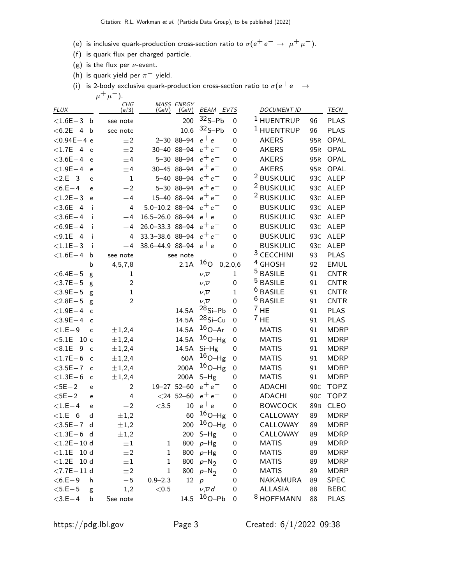- (e) is inclusive quark-production cross-section ratio to  $\sigma(e^+e^-\rightarrow \mu^+\mu^-)$ .
- (f) is quark flux per charged particle.
- (g) is the flux per  $\nu$ -event.
- (h) is quark yield per  $\pi^-$  yield.
- (i) is 2-body exclusive quark-production cross-section ratio to  $\sigma(e^+e^-\rightarrow$  $\mu^+ \mu^-$ ).

| $32S-Pb$<br><sup>1</sup> HUENTRUP<br>200<br><b>PLAS</b><br>96<br>$< 1.6E - 3$<br>0<br>b<br>see note<br>$32S-Pb$<br>$1$ HUENTRUP<br>10.6<br><b>PLAS</b><br>$< 6.2E - 4$<br>96<br>$\mathbf b$<br>0<br>see note<br>$e^+e^-$<br>$<$ 0.94E $-$ 4 e<br>OPAL<br>$\pm 2$<br>2-30 88-94<br>$\mathbf 0$<br><b>AKERS</b><br>95 <sub>R</sub><br>$e^+e^-$<br>$<$ 1.7E $-4$<br>30-40 88-94<br>±2<br><b>AKERS</b><br>OPAL<br>0<br>95 <sub>R</sub><br>e<br>$e^+e^-$<br>5-30 88-94<br>$<$ 3.6E $-4$<br>±4<br><b>AKERS</b><br>OPAL<br>0<br>95 <sub>R</sub><br>e |  |
|-----------------------------------------------------------------------------------------------------------------------------------------------------------------------------------------------------------------------------------------------------------------------------------------------------------------------------------------------------------------------------------------------------------------------------------------------------------------------------------------------------------------------------------------------|--|
|                                                                                                                                                                                                                                                                                                                                                                                                                                                                                                                                               |  |
|                                                                                                                                                                                                                                                                                                                                                                                                                                                                                                                                               |  |
|                                                                                                                                                                                                                                                                                                                                                                                                                                                                                                                                               |  |
|                                                                                                                                                                                                                                                                                                                                                                                                                                                                                                                                               |  |
|                                                                                                                                                                                                                                                                                                                                                                                                                                                                                                                                               |  |
| $e^+e^-$<br>30-45 88-94<br><b>AKERS</b><br>OPAL<br>$< 1.9E - 4$<br>±4<br>95 <sub>R</sub><br>0<br>e                                                                                                                                                                                                                                                                                                                                                                                                                                            |  |
| <sup>2</sup> BUSKULIC<br>$e^+e^-$<br>5-40 88-94<br>93 <sub>C</sub><br><b>ALEP</b><br>$< 2.E - 3$<br>$+1$<br>0<br>e                                                                                                                                                                                                                                                                                                                                                                                                                            |  |
| <sup>2</sup> BUSKULIC<br>$e^+e^-$<br>5-30 88-94<br>93 <sub>C</sub><br><b>ALEP</b><br>$<$ 6.E $-$ 4<br>$+2$<br>0<br>e                                                                                                                                                                                                                                                                                                                                                                                                                          |  |
| <sup>2</sup> BUSKULIC<br>$e^+e^-$<br>15-40 88-94<br><b>ALEP</b><br>$< 1.2E - 3$<br>93 <sub>C</sub><br>$+4$<br>0<br>e                                                                                                                                                                                                                                                                                                                                                                                                                          |  |
| $e^+e^-$<br>$5.0 - 10.2$ 88-94<br>i.<br><b>BUSKULIC</b><br>$<$ 3.6E $-4$<br>93 <sub>C</sub><br><b>ALEP</b><br>0<br>$+4$                                                                                                                                                                                                                                                                                                                                                                                                                       |  |
| $e^+e^-$<br>16.5-26.0 88-94<br>$<$ 3.6E $-4$<br><b>BUSKULIC</b><br><b>ALEP</b><br>i<br>93 <sub>C</sub><br>$+4$<br>0                                                                                                                                                                                                                                                                                                                                                                                                                           |  |
| $e^+e^-$<br>26.0-33.3 88-94<br><b>BUSKULIC</b><br><b>ALEP</b><br>$<$ 6.9E $-$ 4<br>i<br>93 <sub>C</sub><br>$+4$<br>0                                                                                                                                                                                                                                                                                                                                                                                                                          |  |
| 33.3-38.6 88-94<br>$e^+e^-$<br><b>BUSKULIC</b><br><b>ALEP</b><br>$< 9.1E - 4$<br>93 <sub>C</sub><br>i<br>$+4$<br>0                                                                                                                                                                                                                                                                                                                                                                                                                            |  |
| $e^+e^-$<br>38.6-44.9 88-94<br><b>BUSKULIC</b><br><b>ALEP</b><br>$< 1.1E - 3$<br>i<br>93 <sub>C</sub><br>$+4$<br>0                                                                                                                                                                                                                                                                                                                                                                                                                            |  |
| <sup>3</sup> CECCHINI<br>$< 1.6E - 4$<br>93<br><b>PLAS</b><br>$\mathbf 0$<br>b<br>see note<br>see note                                                                                                                                                                                                                                                                                                                                                                                                                                        |  |
| 16 <sub>O</sub><br><sup>4</sup> GHOSH<br><b>EMUL</b><br>2.1A<br>92<br>4, 5, 7, 8<br>0, 2, 0, 6<br>b                                                                                                                                                                                                                                                                                                                                                                                                                                           |  |
| <sup>5</sup> BASILE<br>$<$ 6.4E $-$ 5<br>91<br><b>CNTR</b><br>$\mathbf{1}$<br>$\nu, \overline{\nu}$<br>$\mathbf{1}$<br>g                                                                                                                                                                                                                                                                                                                                                                                                                      |  |
| <sup>5</sup> BASILE<br>$<$ 3.7E $-5$<br>$\overline{2}$<br>91<br><b>CNTR</b><br>0<br>$\nu, \overline{\nu}$<br>g                                                                                                                                                                                                                                                                                                                                                                                                                                |  |
| <sup>6</sup> BASILE<br><b>CNTR</b><br>$<$ 3.9E $-5$<br>$\mathbf{1}$<br>91<br>$\mathbf{1}$<br>$\nu, \overline{\nu}$<br>g                                                                                                                                                                                                                                                                                                                                                                                                                       |  |
| $6$ BASILE<br><b>CNTR</b><br>$< 2.8E - 5$<br>$\overline{c}$<br>0<br>91<br>$\nu, \overline{\nu}$<br>g                                                                                                                                                                                                                                                                                                                                                                                                                                          |  |
| $28Si-Pb$<br>$7$ HE<br>$< 1.9E - 4$<br>14.5A<br><b>PLAS</b><br>$\mathbf 0$<br>91<br>$\mathsf{C}$                                                                                                                                                                                                                                                                                                                                                                                                                                              |  |
| $28Si-Cu$<br>$7$ HE<br>14.5A<br>$<$ 3.9E $-4$<br>91<br><b>PLAS</b><br>0<br>$\mathsf{C}$                                                                                                                                                                                                                                                                                                                                                                                                                                                       |  |
| $16_{O-Ar}$<br>14.5A<br><b>MDRP</b><br>$<$ 1.E $-9$<br>0<br><b>MATIS</b><br>91<br>±1,2,4<br>$\mathsf{C}$                                                                                                                                                                                                                                                                                                                                                                                                                                      |  |
| $16_{O-Hg}$<br>14.5A<br>$< 5.1E - 10c$<br>±1,2,4<br>$\mathbf 0$<br><b>MATIS</b><br><b>MDRP</b><br>91                                                                                                                                                                                                                                                                                                                                                                                                                                          |  |
| $Si-Hg$<br>$< 8.1E - 9$<br>±1,2,4<br><b>MATIS</b><br><b>MDRP</b><br>14.5A<br>0<br>91<br>$\mathsf{C}$                                                                                                                                                                                                                                                                                                                                                                                                                                          |  |
| $16_{O-Hg}$<br>60A<br>$<$ 1.7E $-6$<br>±1,2,4<br><b>MATIS</b><br><b>MDRP</b><br>0<br>91<br>$\mathsf{C}$                                                                                                                                                                                                                                                                                                                                                                                                                                       |  |
| $16_{O-Hg}$<br>$< 3.5E - 7$<br>±1,2,4<br>200A<br><b>MATIS</b><br>91<br><b>MDRP</b><br>0<br>$\mathsf c$                                                                                                                                                                                                                                                                                                                                                                                                                                        |  |
| $< 1.3E - 6$<br>200A<br>$S-Hg$<br><b>MATIS</b><br><b>MDRP</b><br>±1,2,4<br>91<br>0<br>c                                                                                                                                                                                                                                                                                                                                                                                                                                                       |  |
| $e^+e^-$<br>$52 - 60$<br><b>TOPZ</b><br>$<$ 5E $-2$<br><b>ADACHI</b><br>90 <sub>C</sub><br>2<br>$19 - 27$<br>0<br>e                                                                                                                                                                                                                                                                                                                                                                                                                           |  |
| $e^+e^-$<br><b>ADACHI</b><br><b>TOPZ</b><br>$<$ 5E $-2$<br>$<$ 24 52-60<br>90 <sub>C</sub><br>4<br>0<br>e                                                                                                                                                                                                                                                                                                                                                                                                                                     |  |
| $e^+e^-$<br>$< 1.E-4$<br>< 3.5<br>10<br><b>BOWCOCK</b><br>89 <sub>B</sub><br><b>CLEO</b><br>$+2$<br>0<br>e                                                                                                                                                                                                                                                                                                                                                                                                                                    |  |
| $16_{O-Hg}$<br>60<br>CALLOWAY<br>$<$ 1.E $-6$<br>$\mathsf{d}$<br>$\pm 1,2$<br>89<br><b>MDRP</b><br>0                                                                                                                                                                                                                                                                                                                                                                                                                                          |  |
| $^{16}$ O–Hg<br>200<br>CALLOWAY<br>$<$ 3.5E $-7$<br>$\pm 1,2$<br>$\mathbf 0$<br>89<br><b>MDRP</b><br>d                                                                                                                                                                                                                                                                                                                                                                                                                                        |  |
| $<$ 1.3E $-6$ d<br>CALLOWAY<br>$\pm 1,2$<br>89<br><b>MDRP</b><br>200 S-Hg<br>0                                                                                                                                                                                                                                                                                                                                                                                                                                                                |  |
| $<$ 1.2E $-$ 10 d<br>$\pm 1$<br><b>MATIS</b><br>89<br><b>MDRP</b><br>800 p-Hg<br>1<br>0                                                                                                                                                                                                                                                                                                                                                                                                                                                       |  |
| $<$ 1.1E $-$ 10 d<br>$\pm 2$<br>800 p-Hg<br><b>MATIS</b><br>89<br><b>MDRP</b><br>1<br>0                                                                                                                                                                                                                                                                                                                                                                                                                                                       |  |
| $<$ 1.2E $-$ 10 d<br>$\pm 1$<br>$\mathbf{1}$<br>800<br><b>MATIS</b><br>89<br>MDRP<br>$p-N_2$<br>0<br>$<$ 7.7E $-11$ d<br><b>MATIS</b><br>89<br><b>MDRP</b><br>1                                                                                                                                                                                                                                                                                                                                                                               |  |
| 800<br>$p-N_2$<br>$\pm 2$<br>0<br>$<$ 6.E $-$ 9<br>12 p<br>$-5$<br>NAKAMURA<br>89<br><b>SPEC</b><br>h<br>$0.9 - 2.3$<br>0                                                                                                                                                                                                                                                                                                                                                                                                                     |  |
| $<$ 5.E $-$ 5<br><b>ALLASIA</b><br>1,2<br>< 0.5<br>$\nu, \overline{\nu}$ d<br>0<br>88<br><b>BEBC</b><br>$\mathsf g$                                                                                                                                                                                                                                                                                                                                                                                                                           |  |
| $16_{O-Pb}$<br><sup>8</sup> HOFFMANN<br>14.5<br>$<$ 3.E $-4$<br>$\boldsymbol{0}$<br>88<br><b>PLAS</b><br>b<br>See note                                                                                                                                                                                                                                                                                                                                                                                                                        |  |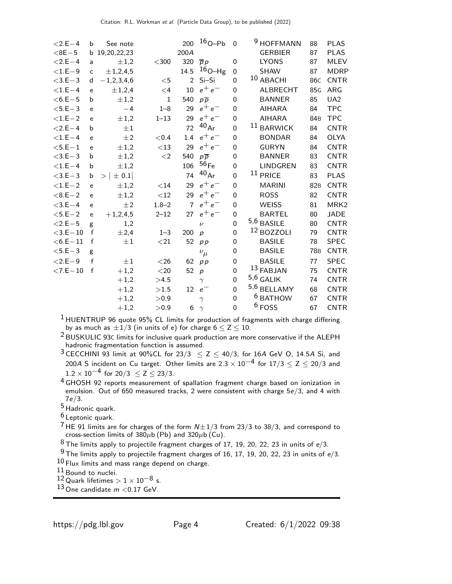| $< 2.E - 4$    | b            | See note            |              | 200            | $16_{O-Pb}$      | $\mathbf 0$      | 9<br><b>HOFFMANN</b> | 88              | <b>PLAS</b>      |
|----------------|--------------|---------------------|--------------|----------------|------------------|------------------|----------------------|-----------------|------------------|
| $<$ 8E $-5$    |              | b 19,20,22,23       |              | 200A           |                  |                  | <b>GERBIER</b>       | 87              | <b>PLAS</b>      |
| $< 2.E - 4$    | a            | $\pm 1,2$           | $<$ 300      | 320            | $\overline{p} p$ | 0                | <b>LYONS</b>         | 87              | <b>MLEV</b>      |
| $<\!1.E\!-\!9$ | $\mathsf{C}$ | ± 1,2,4,5           |              | 14.5           | $16_{O-Hg}$      | $\mathbf 0$      | <b>SHAW</b>          | 87              | <b>MDRP</b>      |
| $<$ 3.E $-$ 3  | d            | $-1,2,3,4,6$        | $<$ 5        | $\overline{2}$ | Si-Si            | $\mathbf 0$      | 10 ABACHI            | 86 <sub>C</sub> | <b>CNTR</b>      |
| $<$ 1.E $-4$   | e            | ±1,2,4              | $\leq 4$     | 10             | $e^+e^-$         | 0                | <b>ALBRECHT</b>      | 85 <sub>G</sub> | ARG              |
| $<$ 6.E $-$ 5  | b            | $\pm 1,2$           | $\mathbf{1}$ | 540            | $p\overline{p}$  | $\mathbf 0$      | <b>BANNER</b>        | 85              | UA2              |
| $<$ 5.E $-$ 3  | e            | $-4$                | $1 - 8$      | 29             | $e^+e^-$         | 0                | <b>AIHARA</b>        | 84              | <b>TPC</b>       |
| $<$ 1.E $-$ 2  | e            | $\pm 1,2$           | $1 - 13$     | 29             | $e^+e^-$         | $\mathbf 0$      | <b>AIHARA</b>        | 84 <sub>B</sub> | <b>TPC</b>       |
| $< 2.E-4$      | $\mathbf b$  | $\pm 1$             |              | 72             | $^{40}Ar$        | $\Omega$         | $11$ BARWICK         | 84              | <b>CNTR</b>      |
| $<$ 1.E $-4$   | e            | ±2                  | < 0.4        | 1.4            | $e^+e^-$         | $\mathbf 0$      | <b>BONDAR</b>        | 84              | <b>OLYA</b>      |
| $<$ 5.E $-1$   | e            | $\pm 1,2$           | $<13\,$      | 29             | $e^+e^-$         | $\mathbf 0$      | <b>GURYN</b>         | 84              | <b>CNTR</b>      |
| $<$ 3.E $-$ 3  | b            | $\pm 1,2$           | $\leq$ 2     | 540            | $p\overline{p}$  | $\mathbf 0$      | <b>BANNER</b>        | 83              | <b>CNTR</b>      |
| $<$ 1.E $-4$   | b            | $\pm 1,2$           |              | 106            | 56 <sub>Fe</sub> | $\mathbf 0$      | <b>LINDGREN</b>      | 83              | <b>CNTR</b>      |
| $<$ 3.E $-$ 3  | b            | $\pm$ 0.1<br>$\geq$ |              | 74             | $^{40}Ar$        | $\overline{0}$   | $11$ PRICE           | 83              | <b>PLAS</b>      |
| $<$ 1.E $-$ 2  | e            | $\pm 1,2$           | $<$ 14       | 29             | $e^+e^-$         | $\mathbf 0$      | <b>MARINI</b>        | 82 <sub>B</sub> | <b>CNTR</b>      |
| $< 8.E - 2$    | e            | $\pm 1,2$           | $<$ 12       | 29             | $e^+e^-$         | $\mathbf 0$      | <b>ROSS</b>          | 82              | <b>CNTR</b>      |
| $<$ 3.E $-4$   | e            | $\pm 2$             | $1.8 - 2$    | $\overline{7}$ | $e^+e^-$         | $\mathbf 0$      | <b>WEISS</b>         | 81              | MRK <sub>2</sub> |
| $< 5.E - 2$    | e            | $+1,2,4,5$          | $2 - 12$     | 27             | $e^+e^-$         | $\mathbf 0$      | <b>BARTEL</b>        | 80              | <b>JADE</b>      |
| $< 2.E - 5$    | g            | 1,2                 |              |                | $\nu$            | $\mathbf 0$      | $5,6$ BASILE         | 80              | <b>CNTR</b>      |
| $<$ 3.E $-10$  | $\mathsf f$  | ±2,4                | $1 - 3$      | 200            | $\boldsymbol{p}$ | $\mathbf 0$      | $12$ BOZZOLI         | 79              | <b>CNTR</b>      |
| $<$ 6.E $-$ 11 | f            | $\pm 1$             | $<$ 21       | 52             | p p              | $\mathbf 0$      | <b>BASILE</b>        | 78              | <b>SPEC</b>      |
| $<$ 5.E $-3$   | g            |                     |              |                | $\nu_{\mu}$      | $\mathbf 0$      | <b>BASILE</b>        | <b>78B</b>      | <b>CNTR</b>      |
| $< 2.E - 9$    | $\mathsf{f}$ | $\pm 1$             | $<$ 26 $\,$  | 62             | p p              | $\boldsymbol{0}$ | <b>BASILE</b>        | 77              | <b>SPEC</b>      |
| $< 7.E - 10$   | f            | $+1,2$              | $<$ 20 $\,$  | 52             | $\boldsymbol{p}$ | $\mathbf 0$      | 13 FABJAN            | 75              | <b>CNTR</b>      |
|                |              | $+1,2$              | >4.5         |                | $\gamma$         | $\mathbf 0$      | $5,6$ GALIK          | 74              | <b>CNTR</b>      |
|                |              | $+1,2$              | >1.5         | 12             | $e^-$            | $\mathbf 0$      | $5,6$ BELLAMY        | 68              | <b>CNTR</b>      |
|                |              | $+1,2$              | > 0.9        |                | $\gamma$         | $\pmb{0}$        | <sup>6</sup> BATHOW  | 67              | <b>CNTR</b>      |
|                |              | $+1,2$              | > 0.9        | 6              | $\gamma$         | $\mathbf 0$      | $6$ FOSS             | 67              | <b>CNTR</b>      |

1 HUENTRUP 96 quote 95% CL limits for production of fragments with charge differing by as much as  $\pm 1/3$  (in units of e) for charge  $6 \le Z \le 10$ .

2 BUSKULIC 93<sup>C</sup> limits for inclusive quark production are more conservative if the ALEPH hadronic fragmentation function is assumed.

3 CECCHINI 93 limit at 90%CL for  $23/3 \le Z \le 40/3$ , for 16A GeV O, 14.5A Si, and 200A S incident on Cu target. Other limits are  $2.3 \times 10^{-4}$  for  $17/3 \le Z \le 20/3$  and  $1.2 \times 10^{-4}$  for 20/3  $\leq$  Z  $\leq$  23/3.

4 GHOSH 92 reports measurement of spallation fragment charge based on ionization in emulsion. Out of 650 measured tracks, 2 were consistent with charge 5e/3, and 4 with 7e/3.

5 Hadronic quark.

6 Leptonic quark.

<sup>7</sup> HE 91 limits are for charges of the form  $N \pm 1/3$  from 23/3 to 38/3, and correspond to cross-section limits of  $380\mu b$  (Pb) and  $320\mu b$  (Cu).

 $8$  The limits apply to projectile fragment charges of 17, 19, 20, 22, 23 in units of  $e/3$ .

 $9$  The limits apply to projectile fragment charges of 16, 17, 19, 20, 22, 23 in units of  $e/3$ . 10 Flux limits and mass range depend on charge.

11 Bound to nuclei.

 $12$  Quark lifetimes  $> 1 \times 10^{-8}$  s.

13 One candidate  $m < 0.17$  GeV.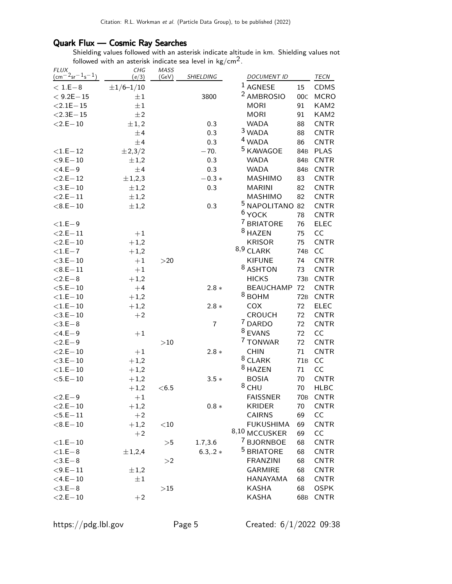## Quark Flux — Cosmic Ray Searches

Shielding values followed with an asterisk indicate altitude in km. Shielding values not followed with an asterisk indicate sea level in  $\text{kg/cm}^2$ .

| <b>FLUX</b><br>$\frac{1}{2}$ cm <sup>-2</sup> sr <sup>-1</sup> s <sup>-1</sup> ) | CHG              | MASS      | SHIELDING      | <b>DOCUMENT ID</b>         |                 | TECN        |
|----------------------------------------------------------------------------------|------------------|-----------|----------------|----------------------------|-----------------|-------------|
|                                                                                  | (e/3)            | (GeV)     |                |                            |                 |             |
| $< 1.E-8$                                                                        | $\pm 1/6 - 1/10$ |           |                | $1$ AGNESE                 | 15              | <b>CDMS</b> |
| $< 9.2E - 15$                                                                    | $\pm 1$          |           | 3800           | <sup>2</sup> AMBROSIO      | 00C             | <b>MCRO</b> |
| $< 2.1E - 15$                                                                    | $\pm 1$          |           |                | <b>MORI</b>                | 91              | KAM2        |
| $<$ 2.3E $-$ 15                                                                  | $\pm 2$          |           |                | <b>MORI</b>                | 91              | KAM2        |
| $<$ 2.E $-$ 10                                                                   | $\pm 1, 2$       |           | 0.3            | <b>WADA</b>                | 88              | <b>CNTR</b> |
|                                                                                  | ±4               |           | 0.3            | $3$ WADA                   | 88              | <b>CNTR</b> |
|                                                                                  | ±4               |           | 0.3            | <sup>4</sup> WADA          | 86              | <b>CNTR</b> |
| $< 1.E - 12$                                                                     | ±2,3/2           |           | $-70.$         | <sup>5</sup> KAWAGOE       | 84 <sub>B</sub> | <b>PLAS</b> |
| $<$ 9.E $-10$                                                                    | $\pm 1,2$        |           | 0.3            | <b>WADA</b>                | 84 <sub>B</sub> | <b>CNTR</b> |
| $<$ 4.E $-9$                                                                     | ±4               |           | 0.3            | <b>WADA</b>                | 84B             | <b>CNTR</b> |
| $< 2.E - 12$                                                                     | ±1,2,3           |           | $-0.3 *$       | MASHIMO                    | 83              | <b>CNTR</b> |
| $<$ 3.E $-10$                                                                    | $\pm 1,2$        |           | 0.3            | <b>MARINI</b>              | 82              | <b>CNTR</b> |
| $<$ 2.E $-$ 11                                                                   | $\pm 1,2$        |           |                | MASHIMO                    | 82              | <b>CNTR</b> |
| $< 8.E - 10$                                                                     | $\pm 1,2$        |           | 0.3            | <sup>5</sup> NAPOLITANO 82 |                 | <b>CNTR</b> |
|                                                                                  |                  |           |                | $6$ YOCK                   | 78              | <b>CNTR</b> |
| $<$ 1.E $-9$                                                                     |                  |           |                | 7 BRIATORE                 | 76              | <b>ELEC</b> |
| $<$ 2.E $-$ 11                                                                   | $+1$             |           |                | <sup>8</sup> HAZEN         | 75              | CC          |
| $<$ 2.E $-$ 10                                                                   | $+1,2$           |           |                | <b>KRISOR</b>              | 75              | <b>CNTR</b> |
| $<$ 1.E $-7$                                                                     | $+1,2$           |           |                | $8,9$ CLARK                | 74 <sub>B</sub> | CC          |
| $<$ 3.E $-10$                                                                    | $+1$             | >20       |                | <b>KIFUNE</b>              | 74              | <b>CNTR</b> |
| $< 8.E - 11$                                                                     | $+1$             |           |                | <sup>8</sup> ASHTON        | 73              | <b>CNTR</b> |
| $<$ 2.E $-$ 8                                                                    | $+1,2$           |           |                | <b>HICKS</b>               | 73B             | <b>CNTR</b> |
| $<$ 5.E $-10$                                                                    | $+4$             |           | $2.8 *$        | <b>BEAUCHAMP</b>           | 72              | <b>CNTR</b> |
| $<$ 1.E $-$ 10                                                                   | $+1,2$           |           |                | $8$ BOHM                   | 72B             | <b>CNTR</b> |
| $<$ 1.E $-$ 10                                                                   | $+1,2$           |           | $2.8 *$        | COX                        | 72              | <b>ELEC</b> |
| $<$ 3.E $-10$                                                                    | $+2$             |           |                | <b>CROUCH</b>              | 72              | <b>CNTR</b> |
| $<$ 3.E $-8$                                                                     |                  |           | $\overline{7}$ | <sup>7</sup> DARDO         | 72              | <b>CNTR</b> |
| $<$ 4.E $-9$                                                                     | $+1$             |           |                | <sup>8</sup> EVANS         | 72              | CC          |
| $<$ 2.E $-$ 9                                                                    |                  | >10       |                | 7 TONWAR                   | 72              | <b>CNTR</b> |
| $<$ 2.E $-$ 10                                                                   | $+1$             |           | $2.8 *$        | <b>CHIN</b>                | 71              | <b>CNTR</b> |
| $<$ 3.E $-10$                                                                    | $+1,2$           |           |                | $8$ CLARK                  | 71B             | CC          |
| $<$ 1.E $-$ 10                                                                   | $+1,2$           |           |                | <sup>8</sup> HAZEN         | 71              | CC          |
| $<$ 5.E $-10$                                                                    | $+1,2$           |           | $3.5*$         | <b>BOSIA</b>               | 70              | <b>CNTR</b> |
|                                                                                  | $+1,2$           | < 6.5     |                | $8$ CHU                    | 70              | <b>HLBC</b> |
| $< 2.E - 9$                                                                      | $+1$             |           |                | <b>FAISSNER</b>            | 70 <sub>B</sub> | <b>CNTR</b> |
| $<$ 2.E $-10$                                                                    | $+1,2$           |           | $0.8 *$        | KRIDER                     | 70              | <b>CNTR</b> |
| $<$ 5.E $-11$                                                                    | $+2$             |           |                | <b>CAIRNS</b>              | 69              | CC          |
| $< 8.E - 10$                                                                     | $+1,2$           | $<$ 10    |                | <b>FUKUSHIMA</b>           | 69              | <b>CNTR</b> |
|                                                                                  | $+2$             |           |                | 8,10 MCCUSKER              | 69              | CC          |
| $<\!1.E\!-\!10$                                                                  |                  | >5        | 1.7,3.6        | 7<br><b>BJORNBOE</b>       | 68              | <b>CNTR</b> |
| $<$ 1.E $-8$                                                                     | ±1,2,4           |           | $6.3, .2*$     | <sup>5</sup> BRIATORE      | 68              | <b>CNTR</b> |
| $<$ 3.E $-8$                                                                     |                  | >2        |                | <b>FRANZINI</b>            | 68              | <b>CNTR</b> |
| $<$ 9.E $-11$                                                                    | $\pm 1,2$        |           |                | <b>GARMIRE</b>             | 68              | <b>CNTR</b> |
| $<$ 4.E $-10$                                                                    | $\pm 1$          |           |                | HANAYAMA                   | 68              | <b>CNTR</b> |
| $<$ 3.E $-8$                                                                     |                  | $>\!\!15$ |                | KASHA                      | 68              | OSPK        |
| $<$ 2.E $-$ 10                                                                   | $+2$             |           |                | <b>KASHA</b>               | 68B             | <b>CNTR</b> |
|                                                                                  |                  |           |                |                            |                 |             |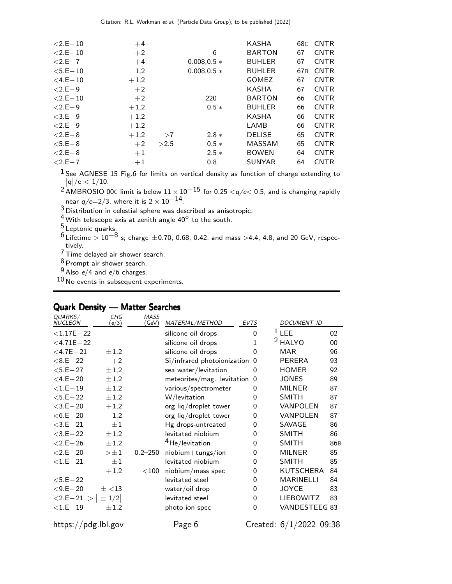| $<$ 2.E $-$ 10 | $+4$   |      |               | KASHA         | 68C             | <b>CNTR</b> |
|----------------|--------|------|---------------|---------------|-----------------|-------------|
| $<$ 2.E $-$ 10 | $+2$   |      | 6             | <b>BARTON</b> | 67              | <b>CNTR</b> |
| $< 2.E - 7$    | $+4$   |      | $0.008.0.5*$  | <b>BUHLER</b> | 67              | <b>CNTR</b> |
| $<$ 5.E $-$ 10 | 1,2    |      | $0.008, 0.5*$ | <b>BUHLER</b> | 67 <sub>B</sub> | <b>CNTR</b> |
| $<$ 4.E $-$ 10 | $+1,2$ |      |               | <b>GOMEZ</b>  | 67              | <b>CNTR</b> |
| $< 2.E-9$      | $+2$   |      |               | <b>KASHA</b>  | 67              | <b>CNTR</b> |
| $<$ 2.E $-$ 10 | $+2$   |      | 220           | <b>BARTON</b> | 66              | <b>CNTR</b> |
| $< 2.E-9$      | $+1,2$ |      | $0.5*$        | <b>BUHLER</b> | 66              | <b>CNTR</b> |
| $< 3.E-9$      | $+1,2$ |      |               | <b>KASHA</b>  | 66              | <b>CNTR</b> |
| $< 2.E-9$      | $+1,2$ |      |               | LAMB          | 66              | <b>CNTR</b> |
| $< 2.E - 8$    | $+1,2$ | >7   | $2.8*$        | <b>DELISE</b> | 65              | <b>CNTR</b> |
| $< 5.E-8$      | $+2$   | >2.5 | $0.5*$        | <b>MASSAM</b> | 65              | <b>CNTR</b> |
| $< 2.E - 8$    | $+1$   |      | $2.5*$        | <b>BOWEN</b>  | 64              | <b>CNTR</b> |
| $< 2.E - 7$    | $+1$   |      | 0.8           | <b>SUNYAR</b> | 64              | <b>CNTR</b> |

 $1$  See AGNESE 15 Fig.6 for limits on vertical density as function of charge extending to  $|{\mathsf q}|/{\mathsf e} < 1/10.$ 

 $^2$  AMBROSIO 00 $\scriptstyle\rm C$  limit is below  $11\times 10^{-15}$  for 0.25  $<\!\!q/\!\!e\!<$  0.5, and is changing rapidly near  $q/e=2/3$ , where it is  $2 \times 10^{-14}$ .

3 Distribution in celestial sphere was described as anisotropic.

 $4$  With telescope axis at zenith angle  $40^\circ$  to the south.

<sup>5</sup> Leptonic quarks.

 $^6$  Lifetime  $> 10^{-8}$  s; charge  $\pm$ 0.70, 0.68, 0.42; and mass  $>$ 4.4, 4.8, and 20 GeV, respectively.

7 Time delayed air shower search.

8 Prompt air shower search.

 $9$  Also  $e/4$  and  $e/6$  charges.

10 No events in subsequent experiments.

## Quark Density — Matter Searches

| QUARKS/<br><b>NUCLEON</b> | CHG<br>(e/3) | MASS<br>(GeV) | MATERIAL/METHOD               | <b>EVTS</b>    | <i>DOCUMENT ID</i>        |                 |
|---------------------------|--------------|---------------|-------------------------------|----------------|---------------------------|-----------------|
| $< 1.17E - 22$            |              |               | silicone oil drops            | $\mathbf 0$    | $1$ LEE                   | 02              |
| $<$ 4.71E $-$ 22          |              |               | silicone oil drops            | 1              | <sup>2</sup> HALYO        | 00              |
| $<$ 4.7E $-$ 21           | $\pm 1,2$    |               | silicone oil drops            | 0              | <b>MAR</b>                | 96              |
| $< 8.E - 22$              | $+2$         |               | Si/infrared photoionization 0 |                | <b>PERERA</b>             | 93              |
| $<$ 5.E $-$ 27            | $\pm 1,2$    |               | sea water/levitation          | 0              | <b>HOMER</b>              | 92              |
| $<$ 4.E $-$ 20            | $\pm 1,2$    |               | meteorites/mag. levitation    | 0              | <b>JONES</b>              | 89              |
| $<$ 1.E $-19$             | $\pm 1,2$    |               | various/spectrometer          | 0              | <b>MILNER</b>             | 87              |
| $<$ 5.E $-$ 22            | $\pm 1,2$    |               | W/levitation                  | 0              | <b>SMITH</b>              | 87              |
| $<$ 3.E $-$ 20            | $+1,2$       |               | org liq/droplet tower         | 0              | VANPOLEN                  | 87              |
| $<$ 6.E $-$ 20            | $-1,2$       |               | org liq/droplet tower         | 0              | VANPOLEN                  | 87              |
| $<$ 3.E $-$ 21            | $\pm 1$      |               | Hg drops-untreated            | 0              | SAVAGE                    | 86              |
| $<$ 3.E $-$ 22            | $\pm 1,2$    |               | levitated niobium             | 0              | <b>SMITH</b>              | 86              |
| $< 2.E - 26$              | $\pm 1,2$    |               | <sup>4</sup> He/levitation    | $\Omega$       | <b>SMITH</b>              | 86 <sub>B</sub> |
| $<$ 2.E $-$ 20            | $>\pm 1$     | $0.2 - 250$   | niobium+tungs/ion             | $\mathbf{0}$   | <b>MILNER</b>             | 85              |
| $<$ 1.E $-$ 21            | $\pm 1$      |               | levitated niobium             | 0              | <b>SMITH</b>              | 85              |
|                           | $+1,2$       | $<$ 100       | niobium/mass spec             | 0              | KUTSCHERA                 | 84              |
| $<$ 5.E $-$ 22            |              |               | levitated steel               | 0              | <b>MARINELLI</b>          | 84              |
| $<$ 9.E $-$ 20            | $\pm$ <13    |               | water/oil drop                | 0              | <b>JOYCE</b>              | 83              |
| $<2.E-21$ >               | $\pm$ 1/2    |               | levitated steel               | 0              | <b>LIEBOWITZ</b>          | 83              |
| $<$ 1.E $-$ 19            | $\pm 1,2$    |               | photo ion spec                | $\overline{0}$ | VANDESTEEG 83             |                 |
| https://pdg.lbl.gov       |              |               | Page 6                        |                | Created: $6/1/2022$ 09:38 |                 |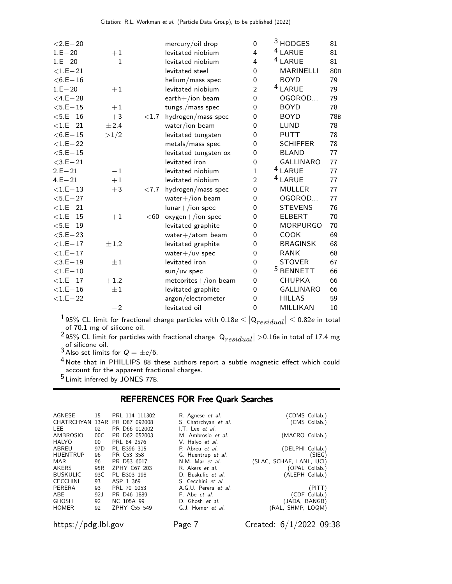| $<$ 2.E $-$ 20 |           |          | mercury/oil drop      | 0              | <sup>3</sup> HODGES  | 81              |
|----------------|-----------|----------|-----------------------|----------------|----------------------|-----------------|
| $1.E - 20$     | $+1$      |          | levitated niobium     | 4              | <sup>4</sup> LARUE   | 81              |
| $1.E - 20$     | $-1$      |          | levitated niobium     | 4              | <sup>4</sup> LARUE   | 81              |
| $<$ 1.E $-$ 21 |           |          | levitated steel       | $\mathbf 0$    | <b>MARINELLI</b>     | 80 <sub>B</sub> |
| $<$ 6.E $-$ 16 |           |          | helium/mass spec      | $\mathbf 0$    | <b>BOYD</b>          | 79              |
| $1.E - 20$     | $+1$      |          | levitated niobium     | $\overline{2}$ | <sup>4</sup> LARUE   | 79              |
| $<$ 4.E $-$ 28 |           |          | $earth+/ion beam$     | $\overline{0}$ | OGOROD               | 79              |
| $<$ 5.E $-15$  | $+1$      |          | tungs./mass spec      | $\mathbf 0$    | <b>BOYD</b>          | 78              |
| $<$ 5.E $-16$  | $+3$      | ${<}1.7$ | hydrogen/mass spec    | 0              | <b>BOYD</b>          | <b>78B</b>      |
| $<$ 1.E $-$ 21 | ±2,4      |          | water/ion beam        | $\overline{0}$ | LUND                 | 78              |
| $<$ 6.E $-15$  | >1/2      |          | levitated tungsten    | $\overline{0}$ | <b>PUTT</b>          | 78              |
| $<$ 1.E $-$ 22 |           |          | metals/mass spec      | $\overline{0}$ | <b>SCHIFFER</b>      | 78              |
| $<$ 5.E $-15$  |           |          | levitated tungsten ox | $\mathbf 0$    | <b>BLAND</b>         | 77              |
| $<$ 3.E $-$ 21 |           |          | levitated iron        | $\mathbf 0$    | <b>GALLINARO</b>     | 77              |
| $2.E - 21$     | $-1$      |          | levitated niobium     | 1              | <sup>4</sup> LARUE   | 77              |
| $4.E - 21$     | $+1$      |          | levitated niobium     | $\overline{2}$ | <sup>4</sup> LARUE   | 77              |
| $<$ 1.E $-$ 13 | $+3$      | ${<}7.7$ | hydrogen/mass spec    | 0              | <b>MULLER</b>        | 77              |
| $<$ 5.E $-$ 27 |           |          | water $+/$ ion beam   | 0              | OGOROD               | 77              |
| $<$ 1.E $-$ 21 |           |          | $lunar+/ion spec$     | 0              | <b>STEVENS</b>       | 76              |
| $<$ 1.E $-$ 15 | $+1$      | $60$     | $oxygen+/ion spec$    | 0              | <b>ELBERT</b>        | 70              |
| $<$ 5.E $-19$  |           |          | levitated graphite    | 0              | <b>MORPURGO</b>      | 70              |
| $<$ 5.E $-$ 23 |           |          | water $+/$ atom beam  | 0              | <b>COOK</b>          | 69              |
| $<$ 1.E $-$ 17 | $\pm 1,2$ |          | levitated graphite    | 0              | <b>BRAGINSK</b>      | 68              |
| $<$ 1.E $-$ 17 |           |          | water $+/uv$ spec     | 0              | <b>RANK</b>          | 68              |
| $<$ 3.E $-19$  | $\pm 1$   |          | levitated iron        | 0              | <b>STOVER</b>        | 67              |
| $<$ 1.E $-$ 10 |           |          | $sun/uv$ spec         | 0              | <sup>5</sup> BENNETT | 66              |
| $<$ 1.E $-$ 17 | $+1,2$    |          | meteorites+/ion beam  | 0              | <b>CHUPKA</b>        | 66              |
| $<$ 1.E $-$ 16 | $\pm 1$   |          | levitated graphite    | 0              | <b>GALLINARO</b>     | 66              |
| $<$ 1.E $-$ 22 |           |          | argon/electrometer    | 0              | <b>HILLAS</b>        | 59              |
|                | $-2$      |          | levitated oil         | $\overline{0}$ | MILLIKAN             | 10              |

 $^{\text{1}}$ 95% CL limit for fractional charge particles with 0.18 $e \leq |\mathsf{Q}_{residual}| \leq$  0.82e in total of 70.1 mg of silicone oil.

<sup>2</sup> 95% CL limit for particles with fractional charge  $|Q_{residual}| > 0.16$ e in total of 17.4 mg<br>of silicone oil.<br><sup>3</sup> Also set limits for  $Q = \pm e/6$ .

 $<sup>4</sup>$  Note that in PHILLIPS 88 these authors report a subtle magnetic effect which could</sup> account for the apparent fractional charges.

5 Limit inferred by JONES 77B.

## REFERENCES FOR Free Quark Searches

| AGNESE          | 15              | PRL 114 111302 | R. Agnese <i>et al.</i> | (CDMS Collab.)           |
|-----------------|-----------------|----------------|-------------------------|--------------------------|
| CHATRCHYAN 13AR |                 | PR D87 092008  | S. Chatrchyan et al.    | (CMS Collab.)            |
| LEE             | 02              | PR D66 012002  | I.T. Lee <i>et al.</i>  |                          |
| AMBROSIO        | 00C             | PR D62 052003  | M. Ambrosio et al.      | (MACRO Collab.)          |
| HALYO           | 00              | PRL 84 2576    | V. Halyo et al.         |                          |
| ABREU           | 97 <sub>D</sub> | PL B396 315    | P. Abreu et al.         | (DELPHI Collab.)         |
| <b>HUENTRUP</b> | 96              | PR C53 358     | G. Huentrup et al.      | (SIEG)                   |
| MAR             | 96              | PR D53 6017    | N.M. Mar et al.         | (SLAC, SCHAF, LANL, UCI) |
| AKERS           | 95 <sub>R</sub> | ZPHY C67 203   | R. Akers et al.         | (OPAL Collab.)           |
| <b>BUSKULIC</b> | 93C             | PL B303 198    | D. Buskulic et al.      | (ALEPH Collab.)          |
| <b>CECCHINI</b> | 93              | ASP 1 369      | S. Cecchini et al.      |                          |
| PERERA          | 93              | PRL 70 1053    | A.G.U. Perera et al.    | (PITT)                   |
| ABE             | 92 <sub>1</sub> | PR D46 1889    | F. Abe et al.           | (CDF Collab.)            |
| <b>GHOSH</b>    | 92              | NC 105A 99     | D. Ghosh et al.         | (JADA, BANGB)            |
| <b>HOMER</b>    | 92              | ZPHY C55 549   | G.J. Homer et al.       | (RAL, SHMP, LOQM)        |
|                 |                 |                |                         |                          |

https://pdg.lbl.gov Page 7 Created: 6/1/2022 09:38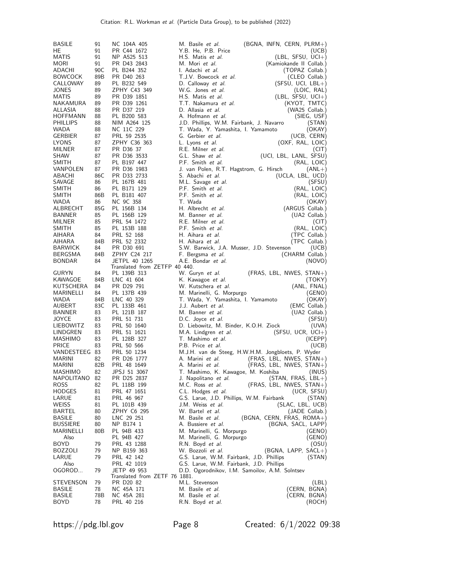| <b>BASILE</b>    | 91              | NC 104A 405                   | M. Basile <i>et al.</i>                                 | $(BGNA, INFN, CERN, PLRM+)$ |
|------------------|-----------------|-------------------------------|---------------------------------------------------------|-----------------------------|
| HE               | 91              | PR C44 1672                   | Y.B. He, P.B. Price                                     | (UCB)                       |
| MATIS            | 91              | NP A525 513                   | H.S. Matis et al.                                       | (LBL, SFSU, UCI+)           |
| <b>MORI</b>      | 91              | PR D43 2843                   | M. Mori et al.                                          | (Kamiokande II Collab.)     |
| ADACHI           | 90C             | PL B244 352                   | I. Adachi <i>et al.</i>                                 | (TOPAZ Collab.)             |
| <b>BOWCOCK</b>   | 89B             | PR D40 263                    | T.J.V. Bowcock et al.                                   | (CLEO Collab.)              |
| CALLOWAY         | 89              | PL B232 549                   | D. Calloway et al.                                      | $(SFSU, UCI, LBL+)$         |
| JONES            | 89              | ZPHY C43 349                  | W.G. Jones et al.                                       | (LOIC, RAL)                 |
| MATIS            | 89              | PR D39 1851                   | H.S. Matis et al.                                       | $(EBL, SFSU, UCl+)$         |
| NAKAMURA         | 89              | PR D39 1261                   | T.T. Nakamura et al.                                    | (KYOT, TMTC)                |
| ALLASIA          | 88              | PR D37 219                    | D. Allasia et al.                                       | (WA25 Collab.)              |
| HOFFMANN         | 88              | PL B200 583                   | A. Hofmann et al.                                       | (SIEG, USF)                 |
| <b>PHILLIPS</b>  | 88              | NIM A264 125                  | J.D. Phillips, W.M. Fairbank, J. Navarro                |                             |
| <b>WADA</b>      | 88              | NC 11C 229                    |                                                         | (STAN)                      |
| <b>GERBIER</b>   |                 |                               | T. Wada, Y. Yamashita, I. Yamamoto<br>G. Gerbier et al. | (OKAY)<br>(UCB, CERN)       |
|                  | 87              | PRL 59 2535<br>ZPHY C36 363   |                                                         |                             |
| LYONS            | 87              |                               | L. Lyons et al.                                         | (OXF, RAL, LOIC)            |
| MILNER           | 87              | PR D36 37                     | R.E. Milner et al.                                      | (CIT)                       |
| SHAW             | 87              | PR D36 3533                   | G.L. Shaw et al.                                        | (UCI, LBL, LANL, SFSU)      |
| SMITH            | 87              | PL B197 447                   | P.F. Smith et al.                                       | (RAL, LOIC)                 |
| VANPOLEN         | 87              | PR D36 1983                   | J. van Polen, R.T. Hagstrom, G. Hirsch                  | $(ANL+)$                    |
| ABACHI           | 86C             | PR D33 2733                   | S. Abachi et al.                                        | (UCLA, LBL, UCD)            |
| SAVAGE           | 86              | PL 167B 481                   | M.L. Savage et al.                                      | (SFSU)                      |
| SMITH            | 86              | PL B171 129                   | P.F. Smith et al.                                       | (RAL, LOIC)                 |
| SMITH            | 86 <sub>B</sub> | PL B181 407                   | P.F. Smith et al.                                       | (RAL, LOIC)                 |
| WADA             | 86              | NC 9C 358                     | T. Wada                                                 | (OKAY)                      |
| ALBRECHT         | 85G             | PL 156B 134                   | H. Albrecht et al.                                      | (ARGUS Collab.)             |
| BANNER           | 85              | PL 156B 129                   | M. Banner et al.                                        | (UA2 Collab.)               |
| MILNER           | 85              | PRL 54 1472                   | R.E. Milner et al.                                      | (CIT)                       |
| SMITH            | 85              | PL 153B 188                   | P.F. Smith et al.                                       | (RAL, LOIC)                 |
| AIHARA           | 84              | PRL 52 168                    | H. Aihara et al.                                        | (TPC Collab.)               |
| AIHARA           | 84B             | PRL 52 2332                   | H. Aihara et al.                                        | (TPC Collab.)               |
| <b>BARWICK</b>   | 84              | PR D30 691                    | S.W. Barwick, J.A. Musser, J.D. Stevenson               | (UCB)                       |
| <b>BERGSMA</b>   | 84B             | ZPHY C24 217                  | F. Bergsma et al.                                       | (CHARM Collab.)             |
| <b>BONDAR</b>    | 84              | JETPL 40 1265                 | A.E. Bondar et al.                                      | (NOVO)                      |
|                  |                 | Translated from ZETFP 40 440. |                                                         |                             |
| GURYN            | 84              | PL 139B 313                   | W. Guryn et al.                                         | (FRAS, LBL, NWES, STAN+)    |
| KAWAGOE          | 84B             | LNC 41 604                    | K. Kawagoe <i>et al.</i>                                | (TOKY)                      |
| KUTSCHERA        | 84              | PR D29 791                    | W. Kutschera et al.                                     | (ANL, FNAL)                 |
| MARINELLI        | 84              | PL 137B 439                   | M. Marinelli, G. Morpurgo                               | (GENO)                      |
| WADA             | 84B             | LNC 40 329                    | T. Wada, Y. Yamashita, I. Yamamoto                      | (OKAY)                      |
| <b>AUBERT</b>    | 83C             | PL 133B 461                   | J.J. Aubert <i>et al.</i>                               | (EMC Collab.)               |
| BANNER           | 83              | PL 121B 187                   | M. Banner <i>et al</i> .                                | (UA2 Collab.)               |
| JOYCE            | 83              | PRL 51 731                    | D.C. Joyce et al.                                       | (SFSU)                      |
| <b>LIEBOWITZ</b> | 83              | PRL 50 1640                   | D. Liebowitz, M. Binder, K.O.H. Ziock                   | (UVA)                       |
| LINDGREN         | 83              | PRL 51 1621                   | M.A. Lindgren et al.                                    | (SFSU, UCR, UCI+)           |
| MASHIMO          | 83              | PL 128B 327                   | T. Mashimo et al.                                       | (ICEPP)                     |
| PRICE            | 83              | PRL 50 566                    | P.B. Price et al.                                       | (UCB)                       |
| VANDESTEEG 83    |                 | PRL 50 1234                   | M.J.H. van de Steeg, H.W.H.M. Jongbloets, P. Wyder      |                             |
| <b>MARINI</b>    | 82              | PR D26 1777                   | A. Marini et al.                                        | $(FRAS, LBL, NWES, STAN+)$  |
| MARINI           | 82B             | PRL 48 1649                   | A. Marini <i>et al.</i>                                 | $(FRAS, LBL, NWES, STAN+)$  |
| MASHIMO          | 82              | JPSJ 51 3067                  | T. Mashimo, K. Kawagoe, M. Koshiba                      | (INUS)                      |
| NAPOLITANO       | 82              | PR D25 2837                   | J. Napolitano <i>et al.</i>                             | $(STAN, FRAS, LBL+)$        |
| <b>ROSS</b>      | 82              | PL 118B 199                   | M.C. Ross <i>et al.</i>                                 | (FRAS, LBL, NWES, STAN+)    |
| <b>HODGES</b>    | 81              | PRL 47 1651                   | C.L. Hodges <i>et al.</i>                               | (UCR, SFSU)                 |
| LARUE            | 81              | PRL 46 967                    | G.S. Larue, J.D. Phillips, W.M. Fairbank                | (STAN)                      |
| WEISS            | 81              | PL 101B 439                   | J.M. Weiss <i>et al.</i>                                | (SLAC, LBL, UCB)            |
| BARTEL           | 80              | ZPHY C6 295                   | W. Bartel et al.                                        | (JADE Collab.)              |
| <b>BASILE</b>    | 80              | LNC 29 251                    | M. Basile et al.                                        | $(BGNA, CERN, FRAS, ROMA+)$ |
| <b>BUSSIERE</b>  | 80              | NP B174 1                     | A. Bussiere <i>et al.</i>                               | (BGNA, SACL, LAPP)          |
| MARINELLI        | 80B             | PL 94B 433                    | M. Marinelli, G. Morpurgo                               | (GENO)                      |
| Also             |                 | PL 94B 427                    | M. Marinelli, G. Morpurgo                               | (GENO)                      |
| <b>BOYD</b>      | 79              | PRL 43 1288                   | R.N. Boyd <i>et al.</i>                                 | (OSU)                       |
| <b>BOZZOLI</b>   | 79              | NP B159 363                   | W. Bozzoli et al.                                       | $(BGNA, LAPP, SACL+)$       |
| LARUE            | 79              | PRL 42 142                    | G.S. Larue, W.M. Fairbank, J.D. Phillips                | (STAN)                      |
| Also             |                 | PRL 42 1019                   | G.S. Larue, W.M. Fairbank, J.D. Phillips                |                             |
| OGOROD           | 79              | JETP 49 953                   | D.D. Ogorodnikov, I.M. Samoilov, A.M. Solntsev          |                             |
|                  |                 | Translated from ZETF 76 1881. |                                                         |                             |
| STEVENSON        | 79              | PR D20 82                     | M.L. Stevenson                                          | (LBL)                       |
| BASILE           | 78              | NC 45A 171                    | M. Basile <i>et al.</i>                                 | (CERN, BGNA)                |
| BASILE           | 78B             | NC 45A 281                    | M. Basile <i>et al.</i>                                 | (CERN, BGNA)                |
| <b>BOYD</b>      | 78              | PRL 40 216                    | R.N. Boyd <i>et al.</i>                                 | (ROCH)                      |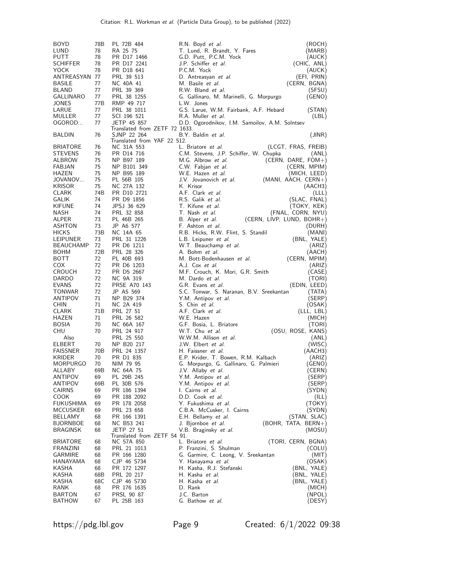| <b>BOYD</b>      | 78B | PL 72B 484                    | R.N. Boyd <i>et al.</i><br>(ROCH)                  |  |
|------------------|-----|-------------------------------|----------------------------------------------------|--|
| LUND             | 78  | RA 25 75                      | T. Lund, R. Brandt, Y. Fares<br>(MARB)             |  |
| PUTT             | 78  | PR D17 1466                   | G.D. Putt, P.C.M. Yock<br>(AUCK)                   |  |
|                  |     |                               |                                                    |  |
| <b>SCHIFFER</b>  | 78  | PR D17 2241                   | J.P. Schiffer et al.<br>(CHIC, ANL)                |  |
| YOCK             | 78  | PR D18 641                    | P.C.M. Yock<br>(AUCK)                              |  |
| ANTREASYAN 77    |     | PRL 39 513                    | (EFI, PRIN)<br>D. Antreasyan et al.                |  |
|                  |     |                               |                                                    |  |
| <b>BASILE</b>    | 77  | NC 40A 41                     | M. Basile et al.<br>(CERN, BGNA)                   |  |
| BLAND            | 77  | PRL 39 369                    | R.W. Bland et al.<br>(SFSU)                        |  |
| GALLINARO        | 77  | PRL 38 1255                   | G. Gallinaro, M. Marinelli, G. Morpurgo<br>(GENO)  |  |
|                  |     |                               |                                                    |  |
| JONES            | 77B | RMP 49 717                    | L.W. Jones                                         |  |
| LARUE            | 77  | PRL 38 1011                   | G.S. Larue, W.M. Fairbank, A.F. Hebard<br>(STAN)   |  |
| MULLER           | 77  | SCI 196 521                   | R.A. Muller et al.<br>(LBL)                        |  |
|                  |     |                               |                                                    |  |
| OGOROD           | 77  | JETP 45 857                   | D.D. Ogorodnikov, I.M. Samoilov, A.M. Solntsev     |  |
|                  |     | Translated from ZETF 72 1633. |                                                    |  |
| <b>BALDIN</b>    | 76  | SJNP 22 264                   | B.Y. Baldin et al.<br>(JINR)                       |  |
|                  |     | Translated from YAF 22 512.   |                                                    |  |
| <b>BRIATORE</b>  | 76  | NC 31A 553                    | L. Briatore et al.<br>(LCGT, FRAS, FREIB)          |  |
| <b>STEVENS</b>   | 76  | PR D14 716                    | C.M. Stevens, J.P. Schiffer, W. Chupka<br>(ANL)    |  |
|                  |     |                               |                                                    |  |
| ALBROW           | 75  | NP B97 189                    | M.G. Albrow et al.<br>(CERN, DARE, $FOM+$ )        |  |
| FABJAN           | 75  | NP B101 349                   | C.W. Fabjan et al.<br>(CERN, MPIM)                 |  |
| HAZEN            | 75  | NP B95 189                    | W.E. Hazen et al.<br>(MICH, LEED)                  |  |
|                  |     |                               |                                                    |  |
| JOVANOV          | 75  | PL 56B 105                    | J.V. Jovanovich et al.<br>$(MANI, AACH, CERN+)$    |  |
| <b>KRISOR</b>    | 75  | NC 27A 132                    | K. Krisor<br>(AACH3)                               |  |
| <b>CLARK</b>     | 74B | PR D10 2721                   | A.F. Clark et al.<br>(LLL)                         |  |
|                  |     |                               |                                                    |  |
| GALIK            | 74  | PR D9 1856                    | R.S. Galik et al.<br>(SLAC, FNAL)                  |  |
| KIFUNE           | 74  | JPSJ 36 629                   | T. Kifune et al.<br>(TOKY, KEK)                    |  |
| NASH             | 74  | PRL 32 858                    | T. Nash et al.<br>(FNAL, CORN, NYU)                |  |
|                  |     |                               | B. Alper et al.                                    |  |
| ALPER            | 73  | PL 46B 265                    | $(CERN, LIVP, LUND, BOHR+)$                        |  |
| <b>ASHTON</b>    | 73  | JP A6 577                     | F. Ashton et al.<br>(DURH)                         |  |
| <b>HICKS</b>     | 73B | NC 14A 65                     | R.B. Hicks, R.W. Flint, S. Standil<br>(MANI)       |  |
|                  | 73  | PRL 31 1226                   |                                                    |  |
| LEIPUNER         |     |                               | (BNL, YALE)<br>L.B. Leipuner et al.                |  |
| <b>BEAUCHAMP</b> | 72  | PR D6 1211                    | W.T. Beauchamp et al.<br>(ARIZ)                    |  |
| <b>BOHM</b>      | 72B | PRL 28 326                    | A. Bohm et al.<br>(AACH)                           |  |
| <b>BOTT</b>      | 72  | PL 40B 693                    | M. Bott-Bodenhausen et al.<br>(CERN, MPIM)         |  |
|                  |     |                               |                                                    |  |
| COX.             | 72  | PR D6 1203                    | A.J. Cox et al.<br>(ARIZ)                          |  |
| <b>CROUCH</b>    | 72  | PR D5 2667                    | M.F. Crouch, K. Mori, G.R. Smith<br>(CASE)         |  |
| DARDO            | 72  | NC 9A 319                     | M. Dardo et al.<br>(TORI)                          |  |
| EVANS            | 72  | PRSE A70 143                  | G.R. Evans et al.<br>(EDIN, LEED)                  |  |
|                  |     |                               |                                                    |  |
| <b>TONWAR</b>    | 72  | JP A5 569                     | S.C. Tonwar, S. Naranan, B.V. Sreekantan<br>(TATA) |  |
| ANTIPOV          | 71  | NP B29 374                    | Y.M. Antipov et al.<br>(SERP)                      |  |
| <b>CHIN</b>      | 71  | NC 2A 419                     | S. Chin et al.<br>(OSAK)                           |  |
|                  |     |                               |                                                    |  |
| <b>CLARK</b>     | 71B | PRL 27 51                     | A.F. Clark et al.<br>(LLL, LBL)                    |  |
| HAZEN            | 71  | PRL 26 582                    | W.E. Hazen<br>(MICH)                               |  |
| <b>BOSIA</b>     | 70  | NC 66A 167                    | G.F. Bosia, L. Briatore<br>(TORI)                  |  |
| CHU              | 70  | PRL 24 917                    | (OSU, ROSE, KANS)<br>W.T. Chu et al.               |  |
|                  |     |                               |                                                    |  |
| Also             |     | PRL 25 550                    | W.W.M. Allison et al.<br>(ANL)                     |  |
| <b>ELBERT</b>    | 70  | NP B20 217                    | J.W. Elbert et al.<br>(WISC)                       |  |
| <b>FAISSNER</b>  | 70B | PRL 24 1357                   | H. Faissner et al.<br>(AACH3)                      |  |
| <b>KRIDER</b>    | 70  | PR D1 835                     | E.P. Krider, T. Bowen, R.M. Kalbach<br>(ARIZ)      |  |
|                  |     |                               |                                                    |  |
| <b>MORPURGO</b>  | 70  | NIM 79 95                     | (GENO)<br>G. Morpurgo, G. Gallinaro, G. Palmieri   |  |
| ALLABY           | 69B | NC 64A 75                     | (CERN)<br>J.V. Allaby <i>et al.</i>                |  |
| <b>ANTIPOV</b>   | 69  | PL 29B 245                    | (SERP)<br>Y.M. Antipov et al.                      |  |
| ANTIPOV          | 69B | PL 30B 576                    | Y.M. Antipov et al.<br>(SERP)                      |  |
|                  |     |                               |                                                    |  |
| <b>CAIRNS</b>    | 69  | PR 186 1394                   | I. Cairns et al.<br>(SYDN)                         |  |
| <b>COOK</b>      | 69  | PR 188 2092                   | D.D. Cook et al.<br>(ILL)                          |  |
| FUKUSHIMA        | 69  | PR 178 2058                   | Y. Fukushima et al.<br>(TOKY)                      |  |
| <b>MCCUSKER</b>  | 69  | PRL 23 658                    | C.B.A. McCusker, I. Cairns<br>(SYDN)               |  |
|                  |     |                               |                                                    |  |
| BELLAMY          | 68  | PR 166 1391                   | E.H. Bellamy et al.<br>(STAN, SLAC)                |  |
| <b>BJORNBOE</b>  | 68  | NC B53 241                    | J. Bjornboe et al.<br>(BOHR, TATA, BERN+)          |  |
| <b>BRAGINSK</b>  | 68  | JETP 27 51                    | V.B. Braginsky et al.<br>(MOSU)                    |  |
|                  |     | Translated from ZETF 54 91.   |                                                    |  |
| <b>BRIATORE</b>  | 68  |                               | L. Briatore et al.<br>(TORI, CERN, BGNA)           |  |
|                  |     | NC 57A 850                    |                                                    |  |
| FRANZINI         | 68  | PRL 21 1013                   | P. Franzini, S. Shulman<br>(COLU)                  |  |
| <b>GARMIRE</b>   | 68  | PR 166 1280                   | G. Garmire, C. Leong, V. Sreekantan<br>(MIT)       |  |
| HANAYAMA         | 68  | CJP 46 S734                   | Y. Hanayama et al.<br>(OSAK)                       |  |
|                  |     |                               |                                                    |  |
| KASHA            | 68  | PR 172 1297                   | H. Kasha, R.J. Stefanski<br>(BNL, YALE)            |  |
| KASHA            | 68B | PRL 20 217                    | H. Kasha et al.<br>(BNL, YALE)                     |  |
| KASHA            | 68C | CJP 46 S730                   | H. Kasha et al.<br>(BNL, YALE)                     |  |
| RANK             | 68  | PR 176 1635                   | D. Rank<br>(MICH)                                  |  |
|                  |     |                               |                                                    |  |
| BARTON           | 67  | PRSL 90 87                    | J.C. Barton<br>(NPOL)                              |  |
| <b>BATHOW</b>    | 67  | PL 25B 163                    | (DESY)<br>G. Bathow et al.                         |  |